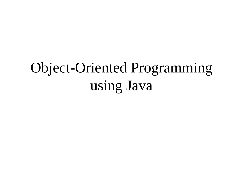## Object-Oriented Programming using Java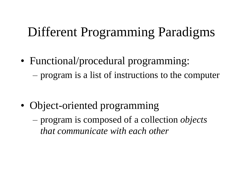### Different Programming Paradigms

• Functional/procedural programming: – program is a list of instructions to the computer

- Object-oriented programming
	- program is composed of a collection *objects that communicate with each other*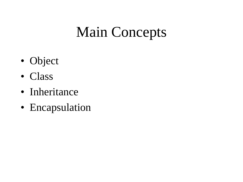## Main Concepts

- Object
- Class
- Inheritance
- Encapsulation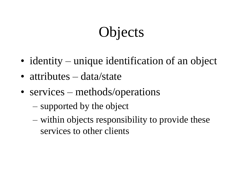# **Objects**

- identity unique identification of an object
- attributes data/state
- services methods/operations
	- supported by the object
	- within objects responsibility to provide these services to other clients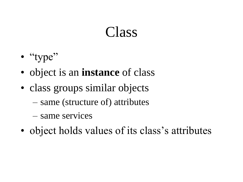### Class

- "type"
- object is an **instance** of class
- class groups similar objects
	- same (structure of) attributes
	- same services
- object holds values of its class's attributes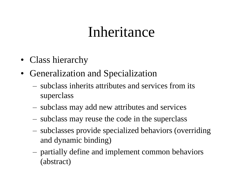## Inheritance

- Class hierarchy
- Generalization and Specialization
	- subclass inherits attributes and services from its superclass
	- subclass may add new attributes and services
	- subclass may reuse the code in the superclass
	- subclasses provide specialized behaviors (overriding and dynamic binding)
	- partially define and implement common behaviors (abstract)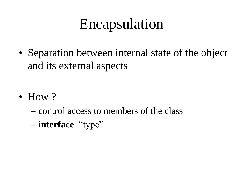## Encapsulation

• Separation between internal state of the object and its external aspects

- How  $?$ 
	- control access to members of the class
	- **interface** "type"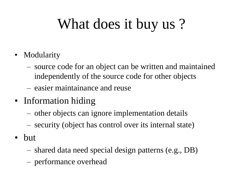# What does it buy us ?

- Modularity
	- source code for an object can be written and maintained independently of the source code for other objects
	- easier maintainance and reuse
- Information hiding
	- other objects can ignore implementation details
	- security (object has control over its internal state)
- but
	- shared data need special design patterns (e.g., DB)
	- performance overhead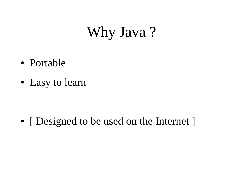## Why Java?

- Portable
- Easy to learn

• [ Designed to be used on the Internet ]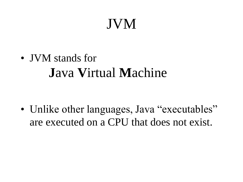## JVM

• JVM stands for **J**ava **V**irtual **M**achine

• Unlike other languages, Java "executables" are executed on a CPU that does not exist.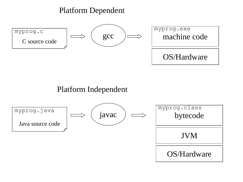#### Platform Dependent



#### Platform Independent

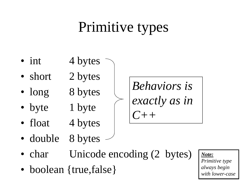# Primitive types

- int  $4 bytes$
- short 2 bytes
- long 8 bytes
- byte 1 byte
- float  $4$  bytes
- *exactly as in C++*

*Behaviors is* 

• double 8 bytes

- char Unicode encoding (2 bytes)
- boolean {true, false}

*Note: Primitive type always begin with lower-case*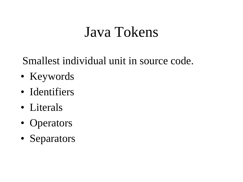## Java Tokens

Smallest individual unit in source code.

- Keywords
- Identifiers
- Literals
- Operators
- Separators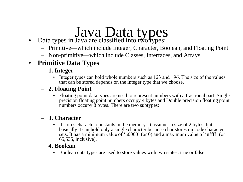# Java Data types

- Data types in Java are classified into two types:
	- Primitive—which include Integer, Character, Boolean, and Floating Point.
	- Non-primitive—which include Classes, Interfaces, and Arrays.

#### • **Primitive Data Types**

- **1. Integer**
	- Integer types can hold whole numbers such as 123 and −96. The size of the values that can be stored depends on the integer type that we choose.

#### – **2. Floating Point**

• Floating point data types are used to represent numbers with a fractional part. Single precision floating point numbers occupy 4 bytes and Double precision floating point numbers occupy 8 bytes. There are two subtypes:

#### – **3. Character**

• It stores character constants in the memory. It assumes a size of 2 bytes, but basically it can hold only a single character because char stores unicode character sets. It has a minimum value of 'u0000' (or 0) and a maximum value of 'uffff' (or 65,535, inclusive).

#### – **4. Boolean**

• Boolean data types are used to store values with two states: true or false.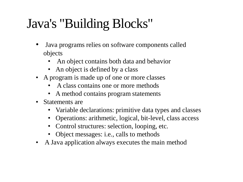## Java's "Building Blocks"

- Java programs relies on software components called objects
	- An object contains both data and behavior
	- An object is defined by a class
- A program is made up of one or more classes
	- A class contains one or more methods
	- A method contains program statements
- Statements are
	- Variable declarations: primitive data types and classes
	- Operations: arithmetic, logical, bit-level, class access
	- Control structures: selection, looping, etc.
	- Object messages: i.e., calls to methods
- A Java application always executes the main method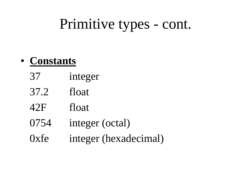## Primitive types - cont.

### • **Constants**

- 37 integer
- 37.2 float
- 42F float
- 0754 integer (octal)
- 0xfe integer (hexadecimal)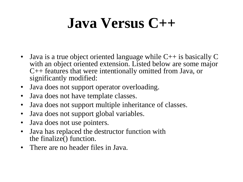# **Java Versus C++**

- Java is a true object oriented language while  $C++$  is basically  $C$ with an object oriented extension. Listed below are some major C++ features that were intentionally omitted from Java, or significantly modified:
- Java does not support operator overloading.
- Java does not have template classes.
- Java does not support multiple inheritance of classes.
- Java does not support global variables.
- Java does not use pointers.
- Java has replaced the destructor function with the finalize() function.
- There are no header files in Java.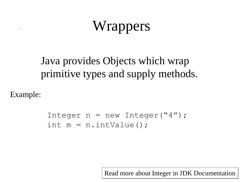# **Wrappers**

### Java provides Objects which wrap primitive types and supply methods.

Example:

```
Integer n = new Integer("4");
int m = n. intValue();
```
Read more about Integer in JDK Documentation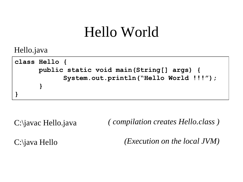## Hello World

Hello.java

```
class Hello {
      public static void main(String[] args) {
            System.out.println("Hello World !!!"); 
      }
}
```
C:\javac Hello.java *( compilation creates Hello.class )*

C:\java Hello

*(Execution on the local JVM)*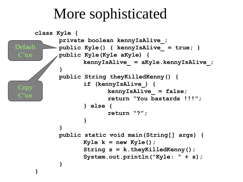## More sophisticated

```
class Kyle {
            private boolean kennyIsAlive_;
            public Kyle() { kennyIsAlive_ = true; }
            public Kyle(Kyle aKyle) {
                   kennyIsAlive_ = aKyle.kennyIsAlive_;
            }
            public String theyKilledKenny() {
                   if (kennyIsAlive_) {
                          kennyIsAlive_ = false;
                           return "You bastards !!!";
                    } else {
                           return "?";
                    }
             }
            public static void main(String[] args) {
                   Kyle k = new Kyle();
                   String s = k.theyKilledKenny();
                   System.out.println("Kyle: " + s);
             }
      }
Default 
C'tor
Copy
C'tor
```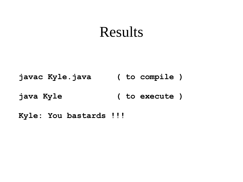### Results

**javac Kyle.java ( to compile )**

**java Kyle ( to execute )**

**Kyle: You bastards !!!**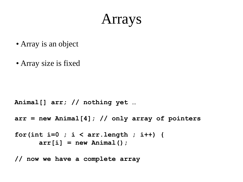### Arrays

- Array is an object
- Array size is fixed

```
Animal[] arr; // nothing yet …
```

```
arr = new Animal[4]; // only array of pointers
```

```
for(int i=0 ; i < arr.length ; i++) {
      arr[i] = new Animal();
```
**// now we have a complete array**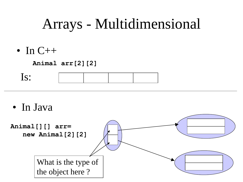## Arrays - Multidimensional

• In  $C++$ 

**Animal arr[2][2]**

| $\bullet$ |  |  |
|-----------|--|--|
|           |  |  |

• In Java

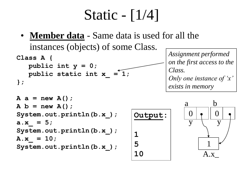## Static - [1/4]

• **Member data** - Same data is used for all the instances (objects) of some Class.

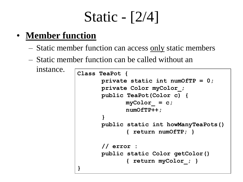# Static - [2/4]

### • **Member function**

- Static member function can access only static members
- Static member function can be called without an

```
instance. Class TeaPot {
                  private static int numOfTP = 0;
                  private Color myColor_;
                  public TeaPot(Color c) { 
                         myColor = c;
                         numOfTP++; 
                   }
                  public static int howManyTeaPots() 
                          { return numOfTP; }
                   // error :
                  public static Color getColor() 
                          { return myColor_; }
            }
```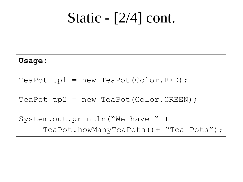## Static - [2/4] cont.

## **Usage:** TeaPot  $tp1 = new TeaPot(Color.EED)$ ; TeaPot  $tp2 = new TeaPot(Color.GREEN)$ ; System.out.println("We have " + TeaPot.howManyTeaPots()+ "Tea Pots");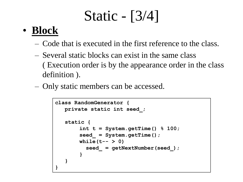## Static - [3/4]

### • **Block**

- Code that is executed in the first reference to the class.
- Several static blocks can exist in the same class ( Execution order is by the appearance order in the class definition ).
- Only static members can be accessed.

```
class RandomGenerator {
   private static int seed_;
   static {
        int t = System.getTime() % 100;
        seed_ = System.getTime();
       while(t-- > 0) 
         seed_ = getNextNumber(seed_);
        }
   }
}
```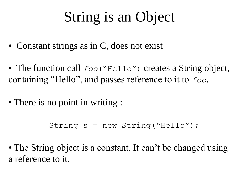## String is an Object

- Constant strings as in C, does not exist
- The function call  $foo("Hello")$  creates a String object, containing "Hello", and passes reference to it to *foo*.
- There is no point in writing :

```
String s = new String("Hello");
```
• The String object is a constant. It can't be changed using a reference to it.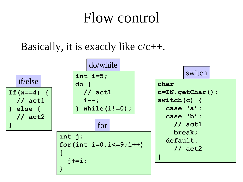### Flow control

Basically, it is exactly like  $c/c++$ .

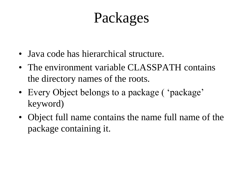## Packages

- Java code has hierarchical structure.
- The environment variable CLASSPATH contains the directory names of the roots.
- Every Object belongs to a package ( 'package' keyword)
- Object full name contains the name full name of the package containing it.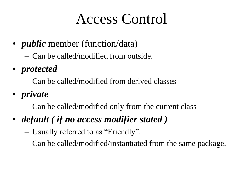## Access Control

- *public* member (function/data)
	- Can be called/modified from outside.
- *protected*
	- Can be called/modified from derived classes
- *private*
	- Can be called/modified only from the current class
- *default ( if no access modifier stated )*
	- Usually referred to as "Friendly".
	- Can be called/modified/instantiated from the same package.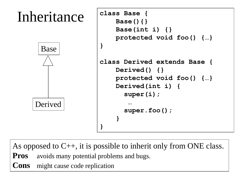

As opposed to  $C_{++}$ , it is possible to inherit only from ONE class.

**Pros** avoids many potential problems and bugs.

**Cons** might cause code replication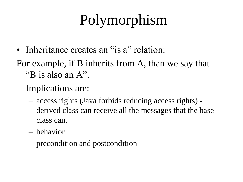# Polymorphism

- Inheritance creates an "is a" relation:
- For example, if B inherits from A, than we say that "B is also an A".
	- Implications are:
		- access rights (Java forbids reducing access rights) derived class can receive all the messages that the base class can.
		- behavior
		- precondition and postcondition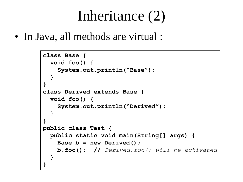## Inheritance (2)

• In Java, all methods are virtual :

```
class Base {
  void foo() {
    System.out.println("Base");
  }
}
class Derived extends Base {
  void foo() {
    System.out.println("Derived");
  }
}
public class Test {
  public static void main(String[] args) {
    Base b = new Derived();
    b.foo(); // Derived.foo() will be activated
  }
}
```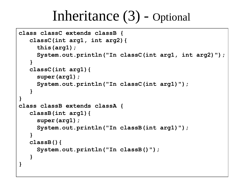### Inheritance (3) - Optional

```
class classC extends classB {
   classC(int arg1, int arg2){ 
     this(arg1);
     System.out.println("In classC(int arg1, int arg2)");
   } 
   classC(int arg1){
     super(arg1);
     System.out.println("In classC(int arg1)");
   }
}
class classB extends classA {
   classB(int arg1){
     super(arg1);
     System.out.println("In classB(int arg1)");
   }
   classB(){
     System.out.println("In classB()");
   }
}
```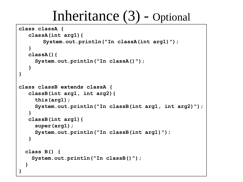### Inheritance (3) - Optional

```
class classA {
   classA(int arg1){
       System.out.println("In classA(int arg1)");
   }
   classA(){
     System.out.println("In classA()");
   }
}
class classB extends classA {
   classB(int arg1, int arg2){ 
     this(arg1);
     System.out.println("In classB(int arg1, int arg2)");
   } 
   classB(int arg1){
     super(arg1);
     System.out.println("In classB(int arg1)");
   }
  class B() {
    System.out.println("In classB()");
  }
}
```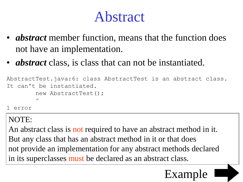## Abstract

- *abstract* member function, means that the function does not have an implementation.
- *abstract* class, is class that can not be instantiated.

```
AbstractTest.java:6: class AbstractTest is an abstract class.
It can't be instantiated.
        new AbstractTest();
        \wedge1 error
```
NOTE:

An abstract class is not required to have an abstract method in it. But any class that has an abstract method in it or that does not provide an implementation for any abstract methods declared in its superclasses must be declared as an abstract class.

### Exan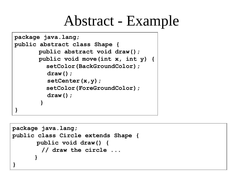## Abstract - Example

```
package java.lang;
public abstract class Shape {
       public abstract void draw(); 
       public void move(int x, int y) {
         setColor(BackGroundColor);
         draw();
         setCenter(x,y);
         setColor(ForeGroundColor);
         draw();
       }
}
```

```
package java.lang;
public class Circle extends Shape {
      public void draw() {
        // draw the circle ...
      }
}
```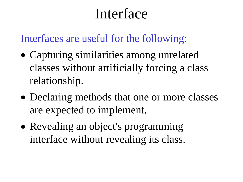## Interface

Interfaces are useful for the following:

- Capturing similarities among unrelated classes without artificially forcing a class relationship.
- Declaring methods that one or more classes are expected to implement.
- Revealing an object's programming interface without revealing its class.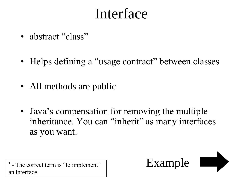## Interface

- abstract "class"
- Helps defining a "usage contract" between classes
- All methods are public
- Java's compensation for removing the multiple inheritance. You can "inherit" as many interfaces as you want.

 $\overline{\text{Example}}$   $\text{Example}$ an interface

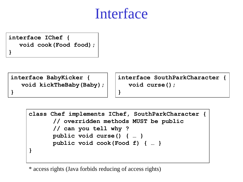### Interface

**interface IChef { void cook(Food food); }**

**interface BabyKicker { void kickTheBaby(Baby);**

**}**

**interface SouthParkCharacter { void curse();**

```
class Chef implements IChef, SouthParkCharacter {
      // overridden methods MUST be public
      // can you tell why ?
      public void curse() { … }
      public void cook(Food f) { … }
}
```
**}**

\* access rights (Java forbids reducing of access rights)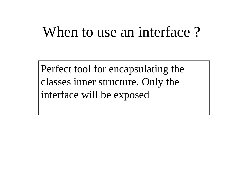### When to use an interface?

Perfect tool for encapsulating the classes inner structure. Only the interface will be exposed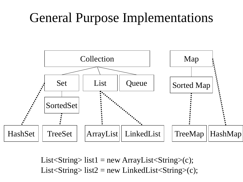### General Purpose Implementations



List < String > list 1 = new Array List < String > (c); List < String > list  $2 = new$  Linked List < String > (c);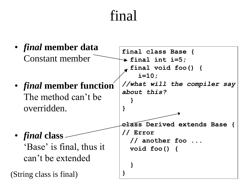## final

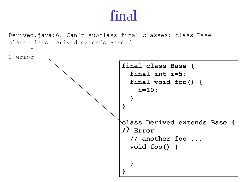### final

Derived.java:6: Can't subclass final classes: class Base class class Derived extends Base {

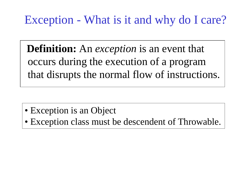### Exception - What is it and why do I care?

**Definition:** An *exception* is an event that occurs during the execution of a program that disrupts the normal flow of instructions.

- Exception is an Object
- Exception class must be descendent of Throwable.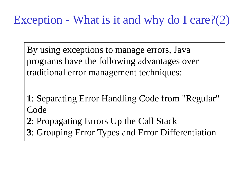### Exception - What is it and why do I care?(2)

By using exceptions to manage errors, Java programs have the following advantages over traditional error management techniques:

- **1**: Separating Error Handling Code from "Regular" **Code**
- **2**: Propagating Errors Up the Call Stack
- **3**: Grouping Error Types and Error Differentiation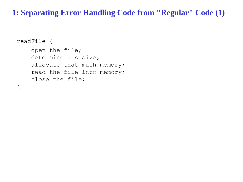#### **1: Separating Error Handling Code from "Regular" Code (1)**

```
readFile {
    open the file;
    determine its size;
    allocate that much memory;
    read the file into memory;
    close the file;
```
}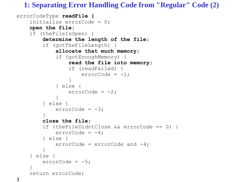**1: Separating Error Handling Code from "Regular" Code (2)**

```
errorCodeType readFile {
    initialize errorCode = 0;
    open the file;
    if (theFileIsOpen) {
        determine the length of the file;
        if (gotTheFileLength) {
            allocate that much memory;
            if (gotEnoughMemory) {
                read the file into memory;
                if (readFailed) {
                    errorCode = -1;}
            } else {
                errorCode = -2;}
        } else {
            errorCode = -3;}
        close the file;
        if (theFileDidntClose && errorCode == 0) {
            errorCode = -4;} else {
            errorCode = errorCode and -4;
        }
    } else {
        errorCode = -5;}
    return errorCode;
}
```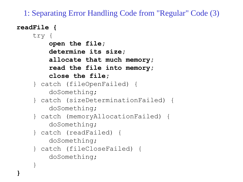1: Separating Error Handling Code from "Regular" Code (3)

```
readFile {
    try {
        open the file;
        determine its size;
        allocate that much memory;
        read the file into memory;
        close the file;
    } catch (fileOpenFailed) {
        doSomething;
    } catch (sizeDeterminationFailed) {
        doSomething;
    } catch (memoryAllocationFailed) {
        doSomething;
    } catch (readFailed) {
        doSomething;
    } catch (fileCloseFailed) {
        doSomething;
    }
}
```